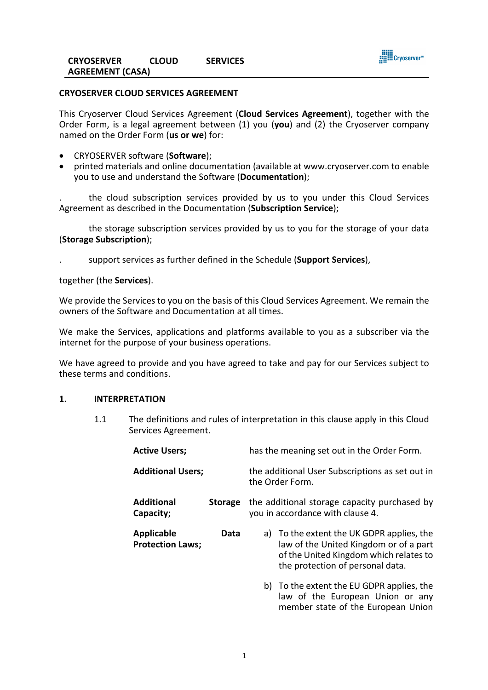

## **CRYOSERVER CLOUD SERVICES AGREEMENT**

This Cryoserver Cloud Services Agreement (**Cloud Services Agreement**), together with the Order Form, is a legal agreement between (1) you (**you**) and (2) the Cryoserver company named on the Order Form (**us or we**) for:

- CRYOSERVER software (**Software**);
- printed materials and online documentation (available at www.cryoserver.com to enable you to use and understand the Software (**Documentation**);

. the cloud subscription services provided by us to you under this Cloud Services Agreement as described in the Documentation (**Subscription Service**);

the storage subscription services provided by us to you for the storage of your data (**Storage Subscription**);

. support services as further defined in the Schedule (**Support Services**),

together (the **Services**).

We provide the Services to you on the basis of this Cloud Services Agreement. We remain the owners of the Software and Documentation at all times.

We make the Services, applications and platforms available to you as a subscriber via the internet for the purpose of your business operations.

We have agreed to provide and you have agreed to take and pay for our Services subject to these terms and conditions.

## **1. INTERPRETATION**

1.1 The definitions and rules of interpretation in this clause apply in this Cloud Services Agreement.

| <b>Active Users;</b>                         |                | has the meaning set out in the Order Form.                                       |                                                                                                                                                                   |
|----------------------------------------------|----------------|----------------------------------------------------------------------------------|-------------------------------------------------------------------------------------------------------------------------------------------------------------------|
| <b>Additional Users;</b>                     |                | the additional User Subscriptions as set out in<br>the Order Form.               |                                                                                                                                                                   |
| <b>Additional</b><br>Capacity;               | <b>Storage</b> | the additional storage capacity purchased by<br>you in accordance with clause 4. |                                                                                                                                                                   |
| <b>Applicable</b><br><b>Protection Laws;</b> | Data           |                                                                                  | a) To the extent the UK GDPR applies, the<br>law of the United Kingdom or of a part<br>of the United Kingdom which relates to<br>the protection of personal data. |
|                                              |                |                                                                                  | b) To the extent the EU GDPR applies, the<br>law of the European Union or any                                                                                     |

member state of the European Union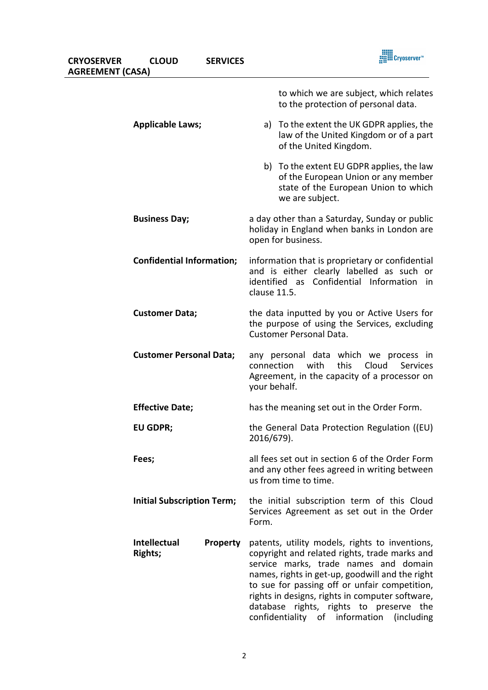| <b>CRYOSERVER</b><br><b>AGREEMENT (CASA)</b> | <b>CLOUD</b>                                      | <b>SERVICES</b> | <b>III Cryoserver™</b>                                                                                                                                                                                                                                                                                                                                                                  |
|----------------------------------------------|---------------------------------------------------|-----------------|-----------------------------------------------------------------------------------------------------------------------------------------------------------------------------------------------------------------------------------------------------------------------------------------------------------------------------------------------------------------------------------------|
|                                              |                                                   |                 | to which we are subject, which relates<br>to the protection of personal data.                                                                                                                                                                                                                                                                                                           |
|                                              | <b>Applicable Laws;</b>                           |                 | To the extent the UK GDPR applies, the<br>a)<br>law of the United Kingdom or of a part<br>of the United Kingdom.                                                                                                                                                                                                                                                                        |
|                                              |                                                   |                 | b) To the extent EU GDPR applies, the law<br>of the European Union or any member<br>state of the European Union to which<br>we are subject.                                                                                                                                                                                                                                             |
|                                              | <b>Business Day;</b>                              |                 | a day other than a Saturday, Sunday or public<br>holiday in England when banks in London are<br>open for business.                                                                                                                                                                                                                                                                      |
|                                              | <b>Confidential Information;</b>                  |                 | information that is proprietary or confidential<br>and is either clearly labelled as such or<br>identified as Confidential Information<br>in i<br>clause 11.5.                                                                                                                                                                                                                          |
|                                              | <b>Customer Data;</b>                             |                 | the data inputted by you or Active Users for<br>the purpose of using the Services, excluding<br><b>Customer Personal Data.</b>                                                                                                                                                                                                                                                          |
|                                              | <b>Customer Personal Data;</b>                    |                 | any personal data which we process in<br>this<br>Cloud<br>connection<br>with<br>Services<br>Agreement, in the capacity of a processor on<br>your behalf.                                                                                                                                                                                                                                |
|                                              | <b>Effective Date;</b>                            |                 | has the meaning set out in the Order Form.                                                                                                                                                                                                                                                                                                                                              |
|                                              | <b>EU GDPR;</b>                                   |                 | the General Data Protection Regulation ((EU)<br>2016/679).                                                                                                                                                                                                                                                                                                                              |
|                                              | Fees;                                             |                 | all fees set out in section 6 of the Order Form<br>and any other fees agreed in writing between<br>us from time to time.                                                                                                                                                                                                                                                                |
|                                              | <b>Initial Subscription Term;</b>                 |                 | the initial subscription term of this Cloud<br>Services Agreement as set out in the Order<br>Form.                                                                                                                                                                                                                                                                                      |
|                                              | <b>Intellectual</b><br>Property<br><b>Rights;</b> |                 | patents, utility models, rights to inventions,<br>copyright and related rights, trade marks and<br>service marks, trade names and domain<br>names, rights in get-up, goodwill and the right<br>to sue for passing off or unfair competition,<br>rights in designs, rights in computer software,<br>database rights, rights to preserve the<br>confidentiality of information (including |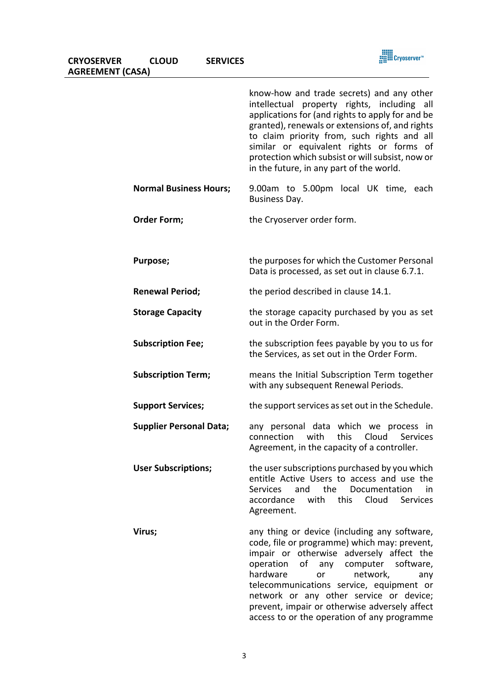| <b>CRYOSERVER</b>       | <b>CLOUD</b> | <b>SERVICES</b> |
|-------------------------|--------------|-----------------|
| <b>AGREEMENT (CASA)</b> |              |                 |

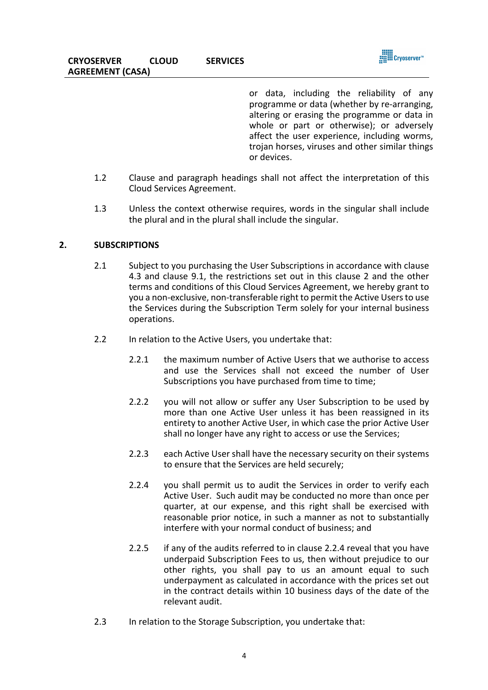

or data, including the reliability of any programme or data (whether by re-arranging, altering or erasing the programme or data in whole or part or otherwise); or adversely affect the user experience, including worms, trojan horses, viruses and other similar things or devices.

- 1.2 Clause and paragraph headings shall not affect the interpretation of this Cloud Services Agreement.
- 1.3 Unless the context otherwise requires, words in the singular shall include the plural and in the plural shall include the singular.

## **2. SUBSCRIPTIONS**

- 2.1 Subject to you purchasing the User Subscriptions in accordance with clause 4.3 and clause 9.1, the restrictions set out in this clause 2 and the other terms and conditions of this Cloud Services Agreement, we hereby grant to you a non-exclusive, non-transferable right to permit the Active Usersto use the Services during the Subscription Term solely for your internal business operations.
- 2.2 In relation to the Active Users, you undertake that:
	- 2.2.1 the maximum number of Active Users that we authorise to access and use the Services shall not exceed the number of User Subscriptions you have purchased from time to time;
	- 2.2.2 you will not allow or suffer any User Subscription to be used by more than one Active User unless it has been reassigned in its entirety to another Active User, in which case the prior Active User shall no longer have any right to access or use the Services;
	- 2.2.3 each Active User shall have the necessary security on their systems to ensure that the Services are held securely;
	- 2.2.4 you shall permit us to audit the Services in order to verify each Active User. Such audit may be conducted no more than once per quarter, at our expense, and this right shall be exercised with reasonable prior notice, in such a manner as not to substantially interfere with your normal conduct of business; and
	- 2.2.5 if any of the audits referred to in clause 2.2.4 reveal that you have underpaid Subscription Fees to us, then without prejudice to our other rights, you shall pay to us an amount equal to such underpayment as calculated in accordance with the prices set out in the contract details within 10 business days of the date of the relevant audit.
- 2.3 In relation to the Storage Subscription, you undertake that: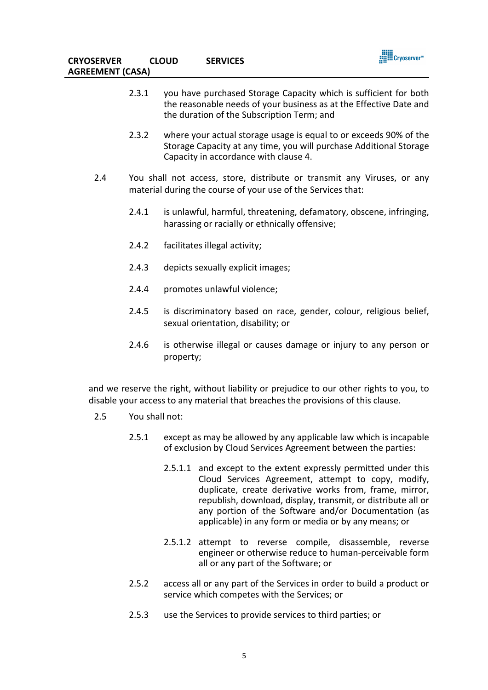- 2.3.1 you have purchased Storage Capacity which is sufficient for both the reasonable needs of your business as at the Effective Date and the duration of the Subscription Term; and
- 2.3.2 where your actual storage usage is equal to or exceeds 90% of the Storage Capacity at any time, you will purchase Additional Storage Capacity in accordance with clause 4.
- 2.4 You shall not access, store, distribute or transmit any Viruses, or any material during the course of your use of the Services that:
	- 2.4.1 is unlawful, harmful, threatening, defamatory, obscene, infringing, harassing or racially or ethnically offensive;
	- 2.4.2 facilitates illegal activity;
	- 2.4.3 depicts sexually explicit images;
	- 2.4.4 promotes unlawful violence;
	- 2.4.5 is discriminatory based on race, gender, colour, religious belief, sexual orientation, disability; or
	- 2.4.6 is otherwise illegal or causes damage or injury to any person or property;

and we reserve the right, without liability or prejudice to our other rights to you, to disable your access to any material that breaches the provisions of this clause.

- 2.5 You shall not:
	- 2.5.1 except as may be allowed by any applicable law which is incapable of exclusion by Cloud Services Agreement between the parties:
		- 2.5.1.1 and except to the extent expressly permitted under this Cloud Services Agreement, attempt to copy, modify, duplicate, create derivative works from, frame, mirror, republish, download, display, transmit, or distribute all or any portion of the Software and/or Documentation (as applicable) in any form or media or by any means; or
		- 2.5.1.2 attempt to reverse compile, disassemble, reverse engineer or otherwise reduce to human-perceivable form all or any part of the Software; or
	- 2.5.2 access all or any part of the Services in order to build a product or service which competes with the Services; or
	- 2.5.3 use the Services to provide services to third parties; or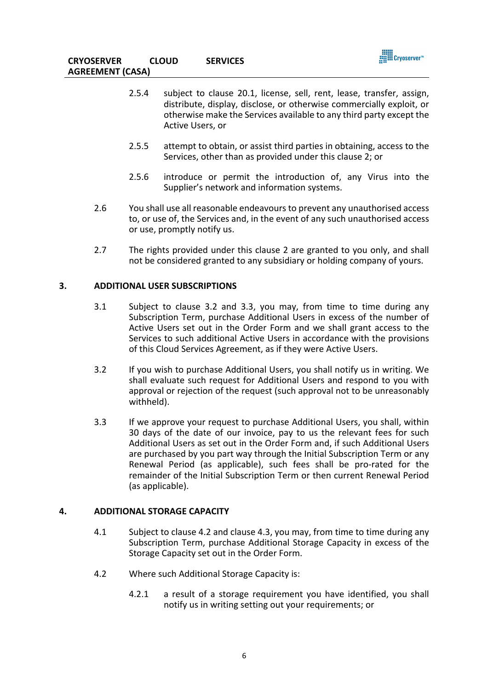

- 2.5.4 subject to clause 20.1, license, sell, rent, lease, transfer, assign, distribute, display, disclose, or otherwise commercially exploit, or otherwise make the Services available to any third party except the Active Users, or
- 2.5.5 attempt to obtain, or assist third parties in obtaining, access to the Services, other than as provided under this clause 2; or
- 2.5.6 introduce or permit the introduction of, any Virus into the Supplier's network and information systems.
- 2.6 You shall use all reasonable endeavours to prevent any unauthorised access to, or use of, the Services and, in the event of any such unauthorised access or use, promptly notify us.
- 2.7 The rights provided under this clause 2 are granted to you only, and shall not be considered granted to any subsidiary or holding company of yours.

# **3. ADDITIONAL USER SUBSCRIPTIONS**

- 3.1 Subject to clause 3.2 and 3.3, you may, from time to time during any Subscription Term, purchase Additional Users in excess of the number of Active Users set out in the Order Form and we shall grant access to the Services to such additional Active Users in accordance with the provisions of this Cloud Services Agreement, as if they were Active Users.
- 3.2 If you wish to purchase Additional Users, you shall notify us in writing. We shall evaluate such request for Additional Users and respond to you with approval or rejection of the request (such approval not to be unreasonably withheld).
- 3.3 If we approve your request to purchase Additional Users, you shall, within 30 days of the date of our invoice, pay to us the relevant fees for such Additional Users as set out in the Order Form and, if such Additional Users are purchased by you part way through the Initial Subscription Term or any Renewal Period (as applicable), such fees shall be pro-rated for the remainder of the Initial Subscription Term or then current Renewal Period (as applicable).

#### **4. ADDITIONAL STORAGE CAPACITY**

- 4.1 Subject to clause 4.2 and clause 4.3, you may, from time to time during any Subscription Term, purchase Additional Storage Capacity in excess of the Storage Capacity set out in the Order Form.
- 4.2 Where such Additional Storage Capacity is:
	- 4.2.1 a result of a storage requirement you have identified, you shall notify us in writing setting out your requirements; or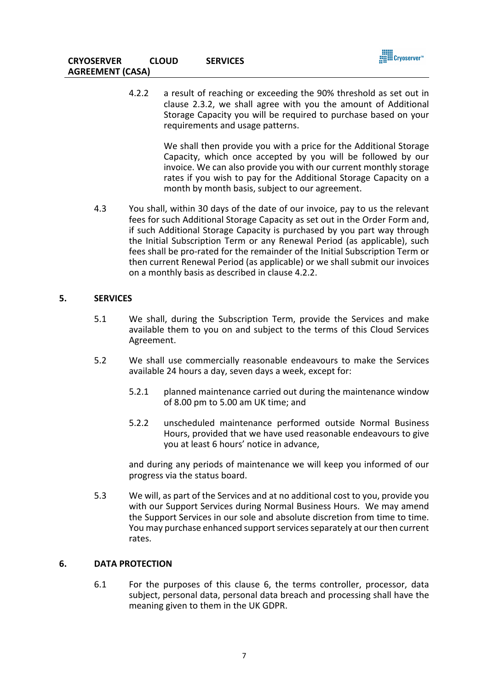

4.2.2 a result of reaching or exceeding the 90% threshold as set out in clause 2.3.2, we shall agree with you the amount of Additional Storage Capacity you will be required to purchase based on your requirements and usage patterns.

> We shall then provide you with a price for the Additional Storage Capacity, which once accepted by you will be followed by our invoice. We can also provide you with our current monthly storage rates if you wish to pay for the Additional Storage Capacity on a month by month basis, subject to our agreement.

4.3 You shall, within 30 days of the date of our invoice, pay to us the relevant fees for such Additional Storage Capacity as set out in the Order Form and, if such Additional Storage Capacity is purchased by you part way through the Initial Subscription Term or any Renewal Period (as applicable), such fees shall be pro-rated for the remainder of the Initial Subscription Term or then current Renewal Period (as applicable) or we shall submit our invoices on a monthly basis as described in clause 4.2.2.

# **5. SERVICES**

- 5.1 We shall, during the Subscription Term, provide the Services and make available them to you on and subject to the terms of this Cloud Services Agreement.
- 5.2 We shall use commercially reasonable endeavours to make the Services available 24 hours a day, seven days a week, except for:
	- 5.2.1 planned maintenance carried out during the maintenance window of 8.00 pm to 5.00 am UK time; and
	- 5.2.2 unscheduled maintenance performed outside Normal Business Hours, provided that we have used reasonable endeavours to give you at least 6 hours' notice in advance,

and during any periods of maintenance we will keep you informed of our progress via the status board.

5.3 We will, as part of the Services and at no additional cost to you, provide you with our Support Services during Normal Business Hours. We may amend the Support Services in our sole and absolute discretion from time to time. You may purchase enhanced support services separately at our then current rates.

## **6. DATA PROTECTION**

6.1 For the purposes of this clause 6, the terms controller, processor, data subject, personal data, personal data breach and processing shall have the meaning given to them in the UK GDPR.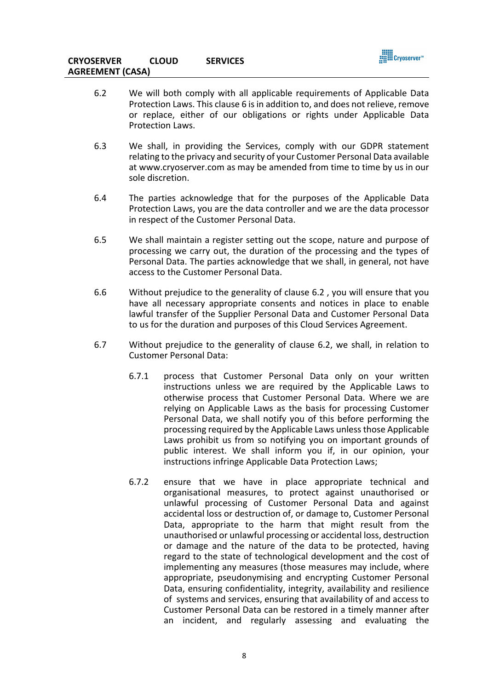

- 6.2 We will both comply with all applicable requirements of Applicable Data Protection Laws. This clause 6 is in addition to, and does not relieve, remove or replace, either of our obligations or rights under Applicable Data Protection Laws.
- 6.3 We shall, in providing the Services, comply with our GDPR statement relating to the privacy and security of your Customer Personal Data available at www.cryoserver.com as may be amended from time to time by us in our sole discretion.
- 6.4 The parties acknowledge that for the purposes of the Applicable Data Protection Laws, you are the data controller and we are the data processor in respect of the Customer Personal Data.
- 6.5 We shall maintain a register setting out the scope, nature and purpose of processing we carry out, the duration of the processing and the types of Personal Data. The parties acknowledge that we shall, in general, not have access to the Customer Personal Data.
- 6.6 Without prejudice to the generality of clause 6.2 , you will ensure that you have all necessary appropriate consents and notices in place to enable lawful transfer of the Supplier Personal Data and Customer Personal Data to us for the duration and purposes of this Cloud Services Agreement.
- 6.7 Without prejudice to the generality of clause 6.2, we shall, in relation to Customer Personal Data:
	- 6.7.1 process that Customer Personal Data only on your written instructions unless we are required by the Applicable Laws to otherwise process that Customer Personal Data. Where we are relying on Applicable Laws as the basis for processing Customer Personal Data, we shall notify you of this before performing the processing required by the Applicable Laws unless those Applicable Laws prohibit us from so notifying you on important grounds of public interest. We shall inform you if, in our opinion, your instructions infringe Applicable Data Protection Laws;
	- 6.7.2 ensure that we have in place appropriate technical and organisational measures, to protect against unauthorised or unlawful processing of Customer Personal Data and against accidental loss or destruction of, or damage to, Customer Personal Data, appropriate to the harm that might result from the unauthorised or unlawful processing or accidental loss, destruction or damage and the nature of the data to be protected, having regard to the state of technological development and the cost of implementing any measures (those measures may include, where appropriate, pseudonymising and encrypting Customer Personal Data, ensuring confidentiality, integrity, availability and resilience of systems and services, ensuring that availability of and access to Customer Personal Data can be restored in a timely manner after an incident, and regularly assessing and evaluating the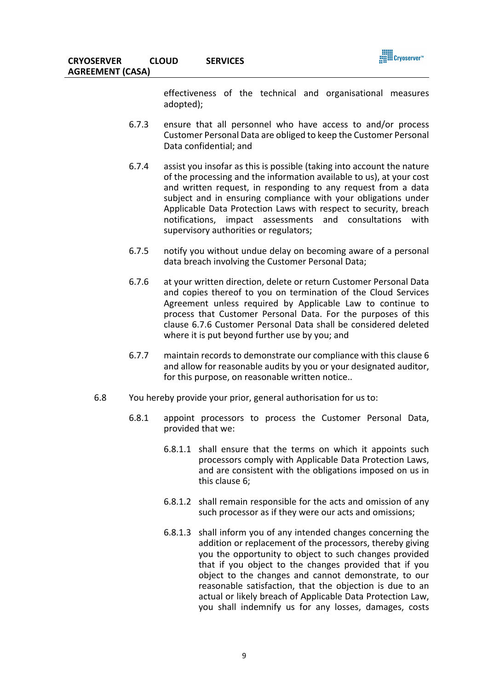

effectiveness of the technical and organisational measures adopted);

- 6.7.3 ensure that all personnel who have access to and/or process Customer Personal Data are obliged to keep the Customer Personal Data confidential; and
- 6.7.4 assist you insofar as this is possible (taking into account the nature of the processing and the information available to us), at your cost and written request, in responding to any request from a data subject and in ensuring compliance with your obligations under Applicable Data Protection Laws with respect to security, breach notifications, impact assessments and consultations with supervisory authorities or regulators;
- 6.7.5 notify you without undue delay on becoming aware of a personal data breach involving the Customer Personal Data;
- 6.7.6 at your written direction, delete or return Customer Personal Data and copies thereof to you on termination of the Cloud Services Agreement unless required by Applicable Law to continue to process that Customer Personal Data. For the purposes of this clause 6.7.6 Customer Personal Data shall be considered deleted where it is put beyond further use by you; and
- 6.7.7 maintain records to demonstrate our compliance with this clause 6 and allow for reasonable audits by you or your designated auditor, for this purpose, on reasonable written notice..
- 6.8 You hereby provide your prior, general authorisation for us to:
	- 6.8.1 appoint processors to process the Customer Personal Data, provided that we:
		- 6.8.1.1 shall ensure that the terms on which it appoints such processors comply with Applicable Data Protection Laws, and are consistent with the obligations imposed on us in this clause 6;
		- 6.8.1.2 shall remain responsible for the acts and omission of any such processor as if they were our acts and omissions;
		- 6.8.1.3 shall inform you of any intended changes concerning the addition or replacement of the processors, thereby giving you the opportunity to object to such changes provided that if you object to the changes provided that if you object to the changes and cannot demonstrate, to our reasonable satisfaction, that the objection is due to an actual or likely breach of Applicable Data Protection Law, you shall indemnify us for any losses, damages, costs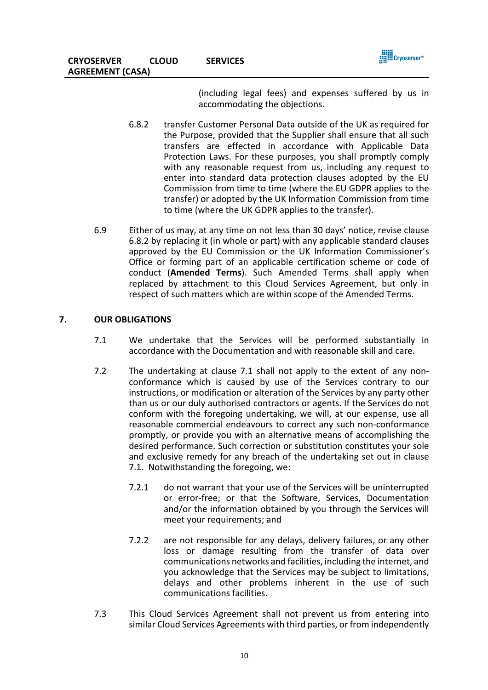(including legal fees) and expenses suffered by us in accommodating the objections.

- 6.8.2 transfer Customer Personal Data outside of the UK as required for the Purpose, provided that the Supplier shall ensure that all such transfers are effected in accordance with Applicable Data Protection Laws. For these purposes, you shall promptly comply with any reasonable request from us, including any request to enter into standard data protection clauses adopted by the EU Commission from time to time (where the EU GDPR applies to the transfer) or adopted by the UK Information Commission from time to time (where the UK GDPR applies to the transfer).
- 6.9 Either of us may, at any time on not less than 30 days' notice, revise clause 6.8.2 by replacing it (in whole or part) with any applicable standard clauses approved by the EU Commission or the UK Information Commissioner's Office or forming part of an applicable certification scheme or code of conduct (**Amended Terms**). Such Amended Terms shall apply when replaced by attachment to this Cloud Services Agreement, but only in respect of such matters which are within scope of the Amended Terms.

# **7. OUR OBLIGATIONS**

- 7.1 We undertake that the Services will be performed substantially in accordance with the Documentation and with reasonable skill and care.
- 7.2 The undertaking at clause 7.1 shall not apply to the extent of any nonconformance which is caused by use of the Services contrary to our instructions, or modification or alteration of the Services by any party other than us or our duly authorised contractors or agents. If the Services do not conform with the foregoing undertaking, we will, at our expense, use all reasonable commercial endeavours to correct any such non-conformance promptly, or provide you with an alternative means of accomplishing the desired performance. Such correction or substitution constitutes your sole and exclusive remedy for any breach of the undertaking set out in clause 7.1. Notwithstanding the foregoing, we:
	- 7.2.1 do not warrant that your use of the Services will be uninterrupted or error-free; or that the Software, Services, Documentation and/or the information obtained by you through the Services will meet your requirements; and
	- 7.2.2 are not responsible for any delays, delivery failures, or any other loss or damage resulting from the transfer of data over communications networks and facilities, including the internet, and you acknowledge that the Services may be subject to limitations, delays and other problems inherent in the use of such communications facilities.
- 7.3 This Cloud Services Agreement shall not prevent us from entering into similar Cloud Services Agreements with third parties, or from independently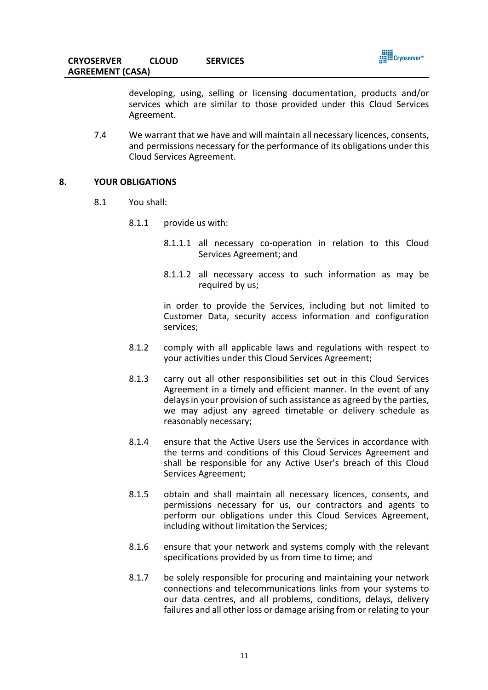

developing, using, selling or licensing documentation, products and/or services which are similar to those provided under this Cloud Services Agreement.

7.4 We warrant that we have and will maintain all necessary licences, consents, and permissions necessary for the performance of its obligations under this Cloud Services Agreement.

#### **8. YOUR OBLIGATIONS**

- 8.1 You shall:
	- 8.1.1 provide us with:
		- 8.1.1.1 all necessary co-operation in relation to this Cloud Services Agreement; and
		- 8.1.1.2 all necessary access to such information as may be required by us:

in order to provide the Services, including but not limited to Customer Data, security access information and configuration services;

- 8.1.2 comply with all applicable laws and regulations with respect to your activities under this Cloud Services Agreement;
- 8.1.3 carry out all other responsibilities set out in this Cloud Services Agreement in a timely and efficient manner. In the event of any delays in your provision of such assistance as agreed by the parties, we may adjust any agreed timetable or delivery schedule as reasonably necessary;
- 8.1.4 ensure that the Active Users use the Services in accordance with the terms and conditions of this Cloud Services Agreement and shall be responsible for any Active User's breach of this Cloud Services Agreement;
- 8.1.5 obtain and shall maintain all necessary licences, consents, and permissions necessary for us, our contractors and agents to perform our obligations under this Cloud Services Agreement, including without limitation the Services;
- 8.1.6 ensure that your network and systems comply with the relevant specifications provided by us from time to time; and
- 8.1.7 be solely responsible for procuring and maintaining your network connections and telecommunications links from your systems to our data centres, and all problems, conditions, delays, delivery failures and all other loss or damage arising from or relating to your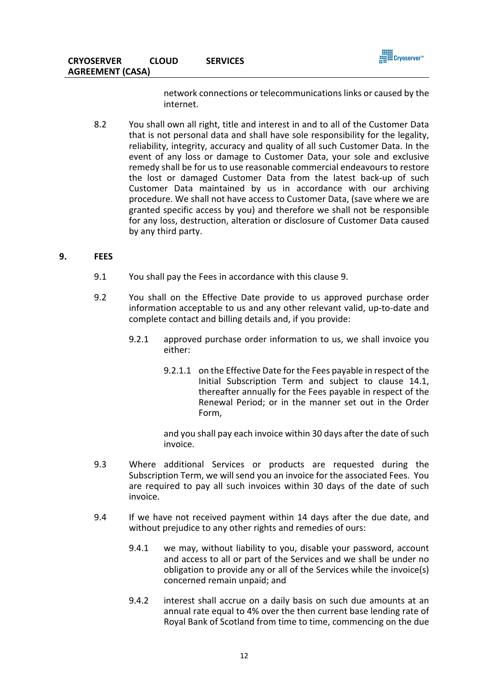

network connections or telecommunications links or caused by the internet.

8.2 You shall own all right, title and interest in and to all of the Customer Data that is not personal data and shall have sole responsibility for the legality, reliability, integrity, accuracy and quality of all such Customer Data. In the event of any loss or damage to Customer Data, your sole and exclusive remedy shall be for us to use reasonable commercial endeavours to restore the lost or damaged Customer Data from the latest back-up of such Customer Data maintained by us in accordance with our archiving procedure. We shall not have access to Customer Data, (save where we are granted specific access by you) and therefore we shall not be responsible for any loss, destruction, alteration or disclosure of Customer Data caused by any third party.

# **9. FEES**

- 9.1 You shall pay the Fees in accordance with this clause 9.
- 9.2 You shall on the Effective Date provide to us approved purchase order information acceptable to us and any other relevant valid, up-to-date and complete contact and billing details and, if you provide:
	- 9.2.1 approved purchase order information to us, we shall invoice you either:
		- 9.2.1.1 on the Effective Date for the Fees payable in respect of the Initial Subscription Term and subject to clause 14.1, thereafter annually for the Fees payable in respect of the Renewal Period; or in the manner set out in the Order Form,

and you shall pay each invoice within 30 days after the date of such invoice.

- 9.3 Where additional Services or products are requested during the Subscription Term, we will send you an invoice for the associated Fees. You are required to pay all such invoices within 30 days of the date of such invoice.
- 9.4 If we have not received payment within 14 days after the due date, and without prejudice to any other rights and remedies of ours:
	- 9.4.1 we may, without liability to you, disable your password, account and access to all or part of the Services and we shall be under no obligation to provide any or all of the Services while the invoice(s) concerned remain unpaid; and
	- 9.4.2 interest shall accrue on a daily basis on such due amounts at an annual rate equal to 4% over the then current base lending rate of Royal Bank of Scotland from time to time, commencing on the due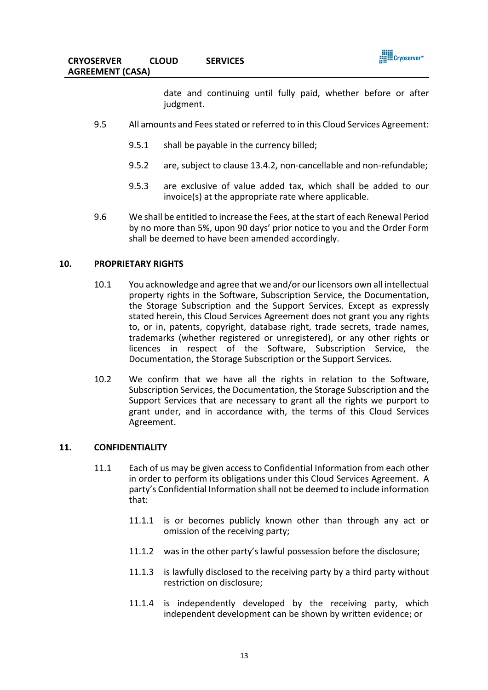

date and continuing until fully paid, whether before or after judgment.

- 9.5 All amounts and Fees stated or referred to in this Cloud Services Agreement:
	- 9.5.1 shall be payable in the currency billed;
	- 9.5.2 are, subject to clause 13.4.2, non-cancellable and non-refundable;
	- 9.5.3 are exclusive of value added tax, which shall be added to our invoice(s) at the appropriate rate where applicable.
- 9.6 We shall be entitled to increase the Fees, at the start of each Renewal Period by no more than 5%, upon 90 days' prior notice to you and the Order Form shall be deemed to have been amended accordingly.

## **10. PROPRIETARY RIGHTS**

- 10.1 You acknowledge and agree that we and/or our licensors own all intellectual property rights in the Software, Subscription Service, the Documentation, the Storage Subscription and the Support Services. Except as expressly stated herein, this Cloud Services Agreement does not grant you any rights to, or in, patents, copyright, database right, trade secrets, trade names, trademarks (whether registered or unregistered), or any other rights or licences in respect of the Software, Subscription Service, the Documentation, the Storage Subscription or the Support Services.
- 10.2 We confirm that we have all the rights in relation to the Software, Subscription Services, the Documentation, the Storage Subscription and the Support Services that are necessary to grant all the rights we purport to grant under, and in accordance with, the terms of this Cloud Services Agreement.

#### **11. CONFIDENTIALITY**

- 11.1 Each of us may be given access to Confidential Information from each other in order to perform its obligations under this Cloud Services Agreement. A party's Confidential Information shall not be deemed to include information that:
	- 11.1.1 is or becomes publicly known other than through any act or omission of the receiving party;
	- 11.1.2 was in the other party's lawful possession before the disclosure;
	- 11.1.3 is lawfully disclosed to the receiving party by a third party without restriction on disclosure;
	- 11.1.4 is independently developed by the receiving party, which independent development can be shown by written evidence; or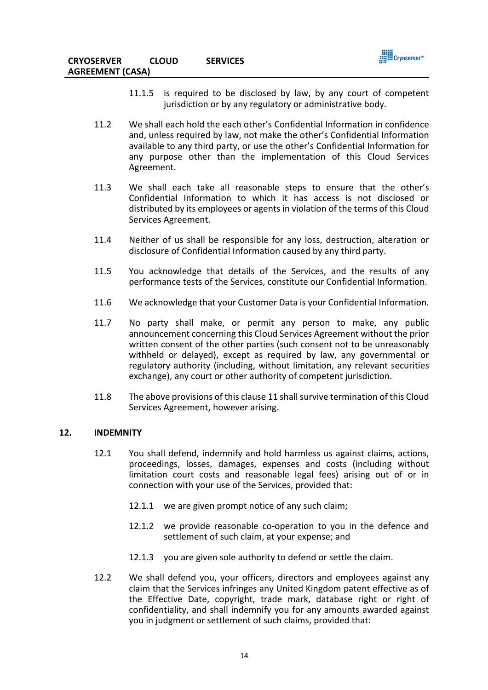

- 11.1.5 is required to be disclosed by law, by any court of competent jurisdiction or by any regulatory or administrative body.
- 11.2 We shall each hold the each other's Confidential Information in confidence and, unless required by law, not make the other's Confidential Information available to any third party, or use the other's Confidential Information for any purpose other than the implementation of this Cloud Services Agreement.
- 11.3 We shall each take all reasonable steps to ensure that the other's Confidential Information to which it has access is not disclosed or distributed by its employees or agents in violation of the terms of this Cloud Services Agreement.
- 11.4 Neither of us shall be responsible for any loss, destruction, alteration or disclosure of Confidential Information caused by any third party.
- 11.5 You acknowledge that details of the Services, and the results of any performance tests of the Services, constitute our Confidential Information.
- 11.6 We acknowledge that your Customer Data is your Confidential Information.
- 11.7 No party shall make, or permit any person to make, any public announcement concerning this Cloud Services Agreement without the prior written consent of the other parties (such consent not to be unreasonably withheld or delayed), except as required by law, any governmental or regulatory authority (including, without limitation, any relevant securities exchange), any court or other authority of competent jurisdiction.
- 11.8 The above provisions of this clause 11 shall survive termination of this Cloud Services Agreement, however arising.

#### **12. INDEMNITY**

- 12.1 You shall defend, indemnify and hold harmless us against claims, actions, proceedings, losses, damages, expenses and costs (including without limitation court costs and reasonable legal fees) arising out of or in connection with your use of the Services, provided that:
	- 12.1.1 we are given prompt notice of any such claim;
	- 12.1.2 we provide reasonable co-operation to you in the defence and settlement of such claim, at your expense; and
	- 12.1.3 you are given sole authority to defend or settle the claim.
- 12.2 We shall defend you, your officers, directors and employees against any claim that the Services infringes any United Kingdom patent effective as of the Effective Date, copyright, trade mark, database right or right of confidentiality, and shall indemnify you for any amounts awarded against you in judgment or settlement of such claims, provided that: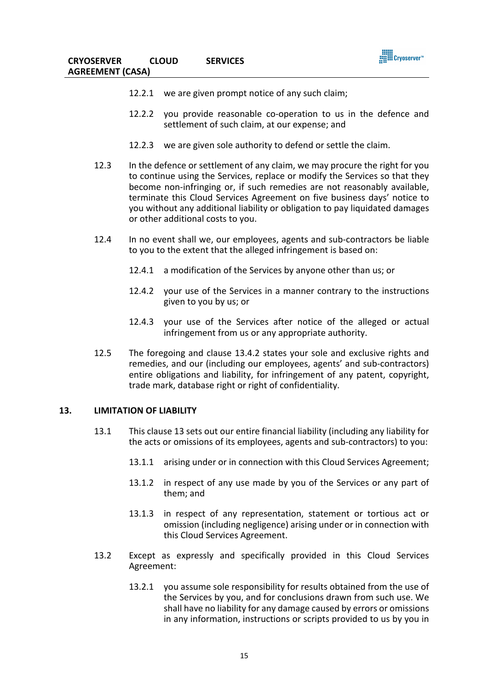

- 12.2.1 we are given prompt notice of any such claim;
- 12.2.2 you provide reasonable co-operation to us in the defence and settlement of such claim, at our expense; and
- 12.2.3 we are given sole authority to defend or settle the claim.
- 12.3 In the defence or settlement of any claim, we may procure the right for you to continue using the Services, replace or modify the Services so that they become non-infringing or, if such remedies are not reasonably available, terminate this Cloud Services Agreement on five business days' notice to you without any additional liability or obligation to pay liquidated damages or other additional costs to you.
- 12.4 In no event shall we, our employees, agents and sub-contractors be liable to you to the extent that the alleged infringement is based on:
	- 12.4.1 a modification of the Services by anyone other than us; or
	- 12.4.2 your use of the Services in a manner contrary to the instructions given to you by us; or
	- 12.4.3 your use of the Services after notice of the alleged or actual infringement from us or any appropriate authority.
- 12.5 The foregoing and clause 13.4.2 states your sole and exclusive rights and remedies, and our (including our employees, agents' and sub-contractors) entire obligations and liability, for infringement of any patent, copyright, trade mark, database right or right of confidentiality.

### **13. LIMITATION OF LIABILITY**

- 13.1 This clause 13 sets out our entire financial liability (including any liability for the acts or omissions of its employees, agents and sub-contractors) to you:
	- 13.1.1 arising under or in connection with this Cloud Services Agreement;
	- 13.1.2 in respect of any use made by you of the Services or any part of them; and
	- 13.1.3 in respect of any representation, statement or tortious act or omission (including negligence) arising under or in connection with this Cloud Services Agreement.
- 13.2 Except as expressly and specifically provided in this Cloud Services Agreement:
	- 13.2.1 you assume sole responsibility for results obtained from the use of the Services by you, and for conclusions drawn from such use. We shall have no liability for any damage caused by errors or omissions in any information, instructions or scripts provided to us by you in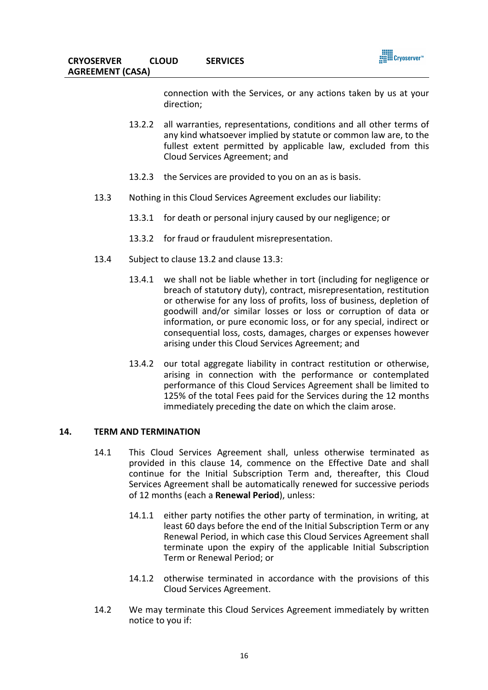



connection with the Services, or any actions taken by us at your direction;

- 13.2.2 all warranties, representations, conditions and all other terms of any kind whatsoever implied by statute or common law are, to the fullest extent permitted by applicable law, excluded from this Cloud Services Agreement; and
- 13.2.3 the Services are provided to you on an as is basis.
- 13.3 Nothing in this Cloud Services Agreement excludes our liability:
	- 13.3.1 for death or personal injury caused by our negligence; or
	- 13.3.2 for fraud or fraudulent misrepresentation.
- 13.4 Subject to clause 13.2 and clause 13.3:
	- 13.4.1 we shall not be liable whether in tort (including for negligence or breach of statutory duty), contract, misrepresentation, restitution or otherwise for any loss of profits, loss of business, depletion of goodwill and/or similar losses or loss or corruption of data or information, or pure economic loss, or for any special, indirect or consequential loss, costs, damages, charges or expenses however arising under this Cloud Services Agreement; and
	- 13.4.2 our total aggregate liability in contract restitution or otherwise, arising in connection with the performance or contemplated performance of this Cloud Services Agreement shall be limited to 125% of the total Fees paid for the Services during the 12 months immediately preceding the date on which the claim arose.

#### **14. TERM AND TERMINATION**

- 14.1 This Cloud Services Agreement shall, unless otherwise terminated as provided in this clause 14, commence on the Effective Date and shall continue for the Initial Subscription Term and, thereafter, this Cloud Services Agreement shall be automatically renewed for successive periods of 12 months (each a **Renewal Period**), unless:
	- 14.1.1 either party notifies the other party of termination, in writing, at least 60 days before the end of the Initial Subscription Term or any Renewal Period, in which case this Cloud Services Agreement shall terminate upon the expiry of the applicable Initial Subscription Term or Renewal Period; or
	- 14.1.2 otherwise terminated in accordance with the provisions of this Cloud Services Agreement.
- 14.2 We may terminate this Cloud Services Agreement immediately by written notice to you if: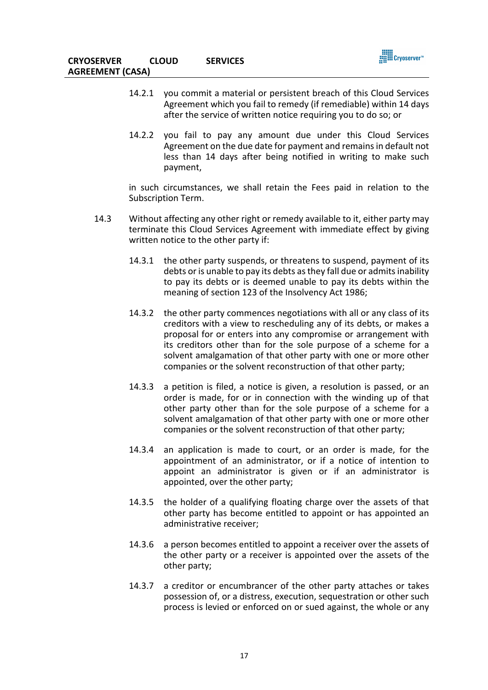

- 14.2.1 you commit a material or persistent breach of this Cloud Services Agreement which you fail to remedy (if remediable) within 14 days after the service of written notice requiring you to do so; or
- 14.2.2 you fail to pay any amount due under this Cloud Services Agreement on the due date for payment and remains in default not less than 14 days after being notified in writing to make such payment,

in such circumstances, we shall retain the Fees paid in relation to the Subscription Term.

- 14.3 Without affecting any other right or remedy available to it, either party may terminate this Cloud Services Agreement with immediate effect by giving written notice to the other party if:
	- 14.3.1 the other party suspends, or threatens to suspend, payment of its debts or is unable to pay its debts as they fall due or admits inability to pay its debts or is deemed unable to pay its debts within the meaning of section 123 of the Insolvency Act 1986;
	- 14.3.2 the other party commences negotiations with all or any class of its creditors with a view to rescheduling any of its debts, or makes a proposal for or enters into any compromise or arrangement with its creditors other than for the sole purpose of a scheme for a solvent amalgamation of that other party with one or more other companies or the solvent reconstruction of that other party;
	- 14.3.3 a petition is filed, a notice is given, a resolution is passed, or an order is made, for or in connection with the winding up of that other party other than for the sole purpose of a scheme for a solvent amalgamation of that other party with one or more other companies or the solvent reconstruction of that other party;
	- 14.3.4 an application is made to court, or an order is made, for the appointment of an administrator, or if a notice of intention to appoint an administrator is given or if an administrator is appointed, over the other party;
	- 14.3.5 the holder of a qualifying floating charge over the assets of that other party has become entitled to appoint or has appointed an administrative receiver;
	- 14.3.6 a person becomes entitled to appoint a receiver over the assets of the other party or a receiver is appointed over the assets of the other party;
	- 14.3.7 a creditor or encumbrancer of the other party attaches or takes possession of, or a distress, execution, sequestration or other such process is levied or enforced on or sued against, the whole or any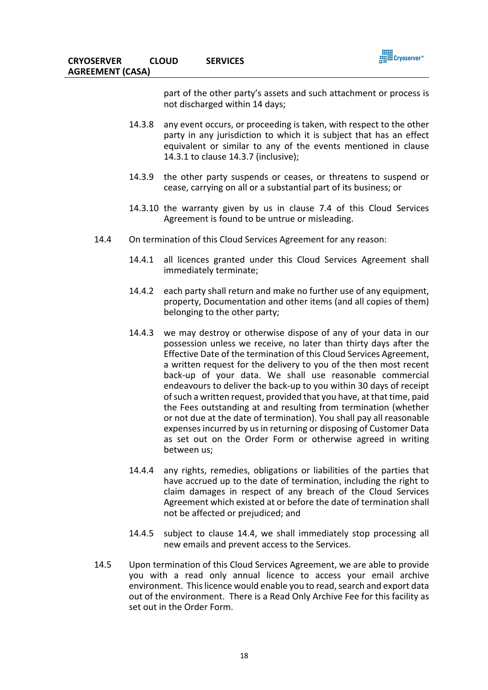

part of the other party's assets and such attachment or process is not discharged within 14 days;

- 14.3.8 any event occurs, or proceeding is taken, with respect to the other party in any jurisdiction to which it is subject that has an effect equivalent or similar to any of the events mentioned in clause 14.3.1 to clause 14.3.7 (inclusive);
- 14.3.9 the other party suspends or ceases, or threatens to suspend or cease, carrying on all or a substantial part of its business; or
- 14.3.10 the warranty given by us in clause 7.4 of this Cloud Services Agreement is found to be untrue or misleading.
- 14.4 On termination of this Cloud Services Agreement for any reason:
	- 14.4.1 all licences granted under this Cloud Services Agreement shall immediately terminate;
	- 14.4.2 each party shall return and make no further use of any equipment, property, Documentation and other items (and all copies of them) belonging to the other party;
	- 14.4.3 we may destroy or otherwise dispose of any of your data in our possession unless we receive, no later than thirty days after the Effective Date of the termination of this Cloud Services Agreement, a written request for the delivery to you of the then most recent back-up of your data. We shall use reasonable commercial endeavours to deliver the back-up to you within 30 days of receipt of such a written request, provided that you have, at that time, paid the Fees outstanding at and resulting from termination (whether or not due at the date of termination). You shall pay all reasonable expenses incurred by us in returning or disposing of Customer Data as set out on the Order Form or otherwise agreed in writing between us;
	- 14.4.4 any rights, remedies, obligations or liabilities of the parties that have accrued up to the date of termination, including the right to claim damages in respect of any breach of the Cloud Services Agreement which existed at or before the date of termination shall not be affected or prejudiced; and
	- 14.4.5 subject to clause 14.4, we shall immediately stop processing all new emails and prevent access to the Services.
- 14.5 Upon termination of this Cloud Services Agreement, we are able to provide you with a read only annual licence to access your email archive environment. This licence would enable you to read, search and export data out of the environment. There is a Read Only Archive Fee for this facility as set out in the Order Form.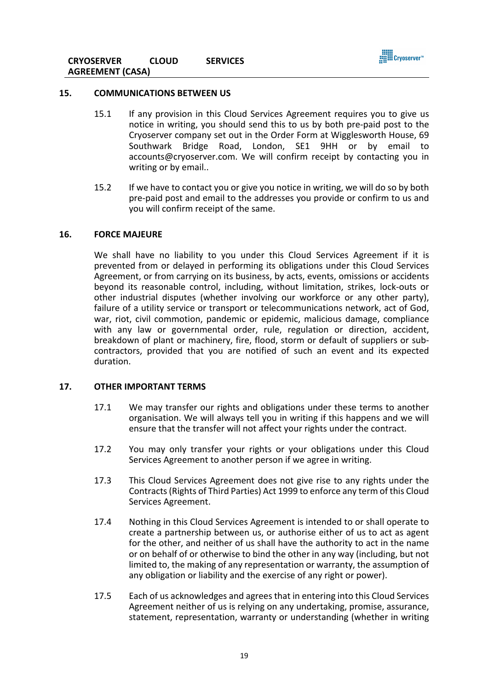

#### **15. COMMUNICATIONS BETWEEN US**

- 15.1 If any provision in this Cloud Services Agreement requires you to give us notice in writing, you should send this to us by both pre-paid post to the Cryoserver company set out in the Order Form at Wigglesworth House, 69 Southwark Bridge Road, London, SE1 9HH or by email to accounts@cryoserver.com. We will confirm receipt by contacting you in writing or by email..
- 15.2 If we have to contact you or give you notice in writing, we will do so by both pre-paid post and email to the addresses you provide or confirm to us and you will confirm receipt of the same.

#### **16. FORCE MAJEURE**

We shall have no liability to you under this Cloud Services Agreement if it is prevented from or delayed in performing its obligations under this Cloud Services Agreement, or from carrying on its business, by acts, events, omissions or accidents beyond its reasonable control, including, without limitation, strikes, lock-outs or other industrial disputes (whether involving our workforce or any other party), failure of a utility service or transport or telecommunications network, act of God, war, riot, civil commotion, pandemic or epidemic, malicious damage, compliance with any law or governmental order, rule, regulation or direction, accident, breakdown of plant or machinery, fire, flood, storm or default of suppliers or subcontractors, provided that you are notified of such an event and its expected duration.

#### **17. OTHER IMPORTANT TERMS**

- 17.1 We may transfer our rights and obligations under these terms to another organisation. We will always tell you in writing if this happens and we will ensure that the transfer will not affect your rights under the contract.
- 17.2 You may only transfer your rights or your obligations under this Cloud Services Agreement to another person if we agree in writing.
- 17.3 This Cloud Services Agreement does not give rise to any rights under the Contracts (Rights of Third Parties) Act 1999 to enforce any term of this Cloud Services Agreement.
- 17.4 Nothing in this Cloud Services Agreement is intended to or shall operate to create a partnership between us, or authorise either of us to act as agent for the other, and neither of us shall have the authority to act in the name or on behalf of or otherwise to bind the other in any way (including, but not limited to, the making of any representation or warranty, the assumption of any obligation or liability and the exercise of any right or power).
- 17.5 Each of us acknowledges and agrees that in entering into this Cloud Services Agreement neither of us is relying on any undertaking, promise, assurance, statement, representation, warranty or understanding (whether in writing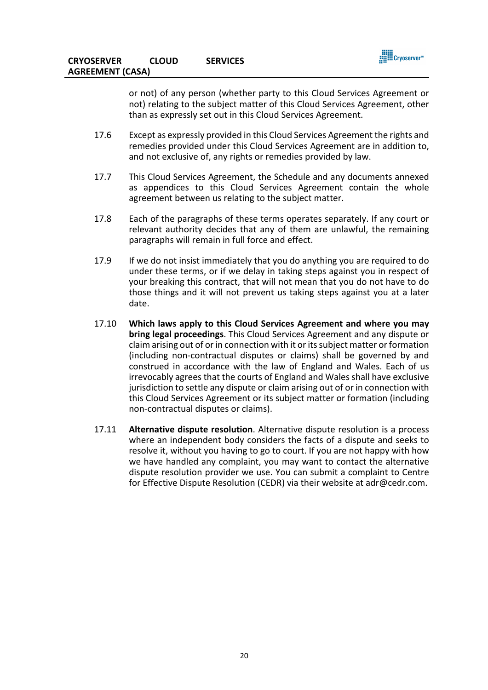

or not) of any person (whether party to this Cloud Services Agreement or not) relating to the subject matter of this Cloud Services Agreement, other than as expressly set out in this Cloud Services Agreement.

- 17.6 Except as expressly provided in this Cloud Services Agreement the rights and remedies provided under this Cloud Services Agreement are in addition to, and not exclusive of, any rights or remedies provided by law.
- 17.7 This Cloud Services Agreement, the Schedule and any documents annexed as appendices to this Cloud Services Agreement contain the whole agreement between us relating to the subject matter.
- 17.8 Each of the paragraphs of these terms operates separately. If any court or relevant authority decides that any of them are unlawful, the remaining paragraphs will remain in full force and effect.
- 17.9 If we do not insist immediately that you do anything you are required to do under these terms, or if we delay in taking steps against you in respect of your breaking this contract, that will not mean that you do not have to do those things and it will not prevent us taking steps against you at a later date.
- 17.10 **Which laws apply to this Cloud Services Agreement and where you may bring legal proceedings**. This Cloud Services Agreement and any dispute or claim arising out of or in connection with it or its subject matter or formation (including non-contractual disputes or claims) shall be governed by and construed in accordance with the law of England and Wales. Each of us irrevocably agrees that the courts of England and Wales shall have exclusive jurisdiction to settle any dispute or claim arising out of or in connection with this Cloud Services Agreement or its subject matter or formation (including non-contractual disputes or claims).
- 17.11 **Alternative dispute resolution**. Alternative dispute resolution is a process where an independent body considers the facts of a dispute and seeks to resolve it, without you having to go to court. If you are not happy with how we have handled any complaint, you may want to contact the alternative dispute resolution provider we use. You can submit a complaint to Centre for Effective Dispute Resolution (CEDR) via their website at adr@cedr.com.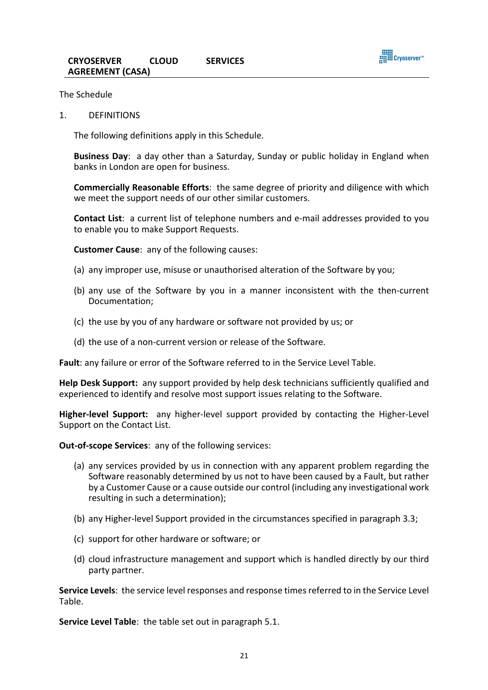

The Schedule

1. DEFINITIONS

The following definitions apply in this Schedule.

**Business Day**: a day other than a Saturday, Sunday or public holiday in England when banks in London are open for business.

**Commercially Reasonable Efforts**: the same degree of priority and diligence with which we meet the support needs of our other similar customers.

**Contact List**: a current list of telephone numbers and e-mail addresses provided to you to enable you to make Support Requests.

**Customer Cause**: any of the following causes:

- (a) any improper use, misuse or unauthorised alteration of the Software by you;
- (b) any use of the Software by you in a manner inconsistent with the then-current Documentation;
- (c) the use by you of any hardware or software not provided by us; or
- (d) the use of a non-current version or release of the Software.

**Fault**: any failure or error of the Software referred to in the Service Level Table.

**Help Desk Support:** any support provided by help desk technicians sufficiently qualified and experienced to identify and resolve most support issues relating to the Software.

**Higher-level Support:** any higher-level support provided by contacting the Higher-Level Support on the Contact List.

**Out-of-scope Services**: any of the following services:

- (a) any services provided by us in connection with any apparent problem regarding the Software reasonably determined by us not to have been caused by a Fault, but rather by a Customer Cause or a cause outside our control (including any investigational work resulting in such a determination);
- (b) any Higher-level Support provided in the circumstances specified in paragraph 3.3;
- (c) support for other hardware or software; or
- (d) cloud infrastructure management and support which is handled directly by our third party partner.

**Service Levels**: the service level responses and response times referred to in the Service Level Table.

**Service Level Table**: the table set out in paragraph 5.1.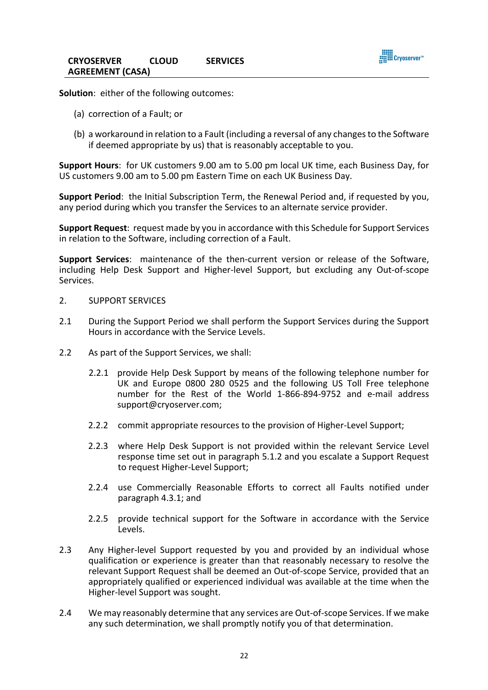

**Solution**: either of the following outcomes:

- (a) correction of a Fault; or
- (b) a workaround in relation to a Fault (including a reversal of any changes to the Software if deemed appropriate by us) that is reasonably acceptable to you.

**Support Hours**: for UK customers 9.00 am to 5.00 pm local UK time, each Business Day, for US customers 9.00 am to 5.00 pm Eastern Time on each UK Business Day.

**Support Period**: the Initial Subscription Term, the Renewal Period and, if requested by you, any period during which you transfer the Services to an alternate service provider.

**Support Request**: request made by you in accordance with this Schedule for Support Services in relation to the Software, including correction of a Fault.

**Support Services**: maintenance of the then-current version or release of the Software, including Help Desk Support and Higher-level Support, but excluding any Out-of-scope Services.

- 2. SUPPORT SERVICES
- 2.1 During the Support Period we shall perform the Support Services during the Support Hours in accordance with the Service Levels.
- 2.2 As part of the Support Services, we shall:
	- 2.2.1 provide Help Desk Support by means of the following telephone number for UK and Europe 0800 280 0525 and the following US Toll Free telephone number for the Rest of the World 1-866-894-9752 and e-mail address support@cryoserver.com;
	- 2.2.2 commit appropriate resources to the provision of Higher-Level Support;
	- 2.2.3 where Help Desk Support is not provided within the relevant Service Level response time set out in paragraph 5.1.2 and you escalate a Support Request to request Higher-Level Support;
	- 2.2.4 use Commercially Reasonable Efforts to correct all Faults notified under paragraph 4.3.1; and
	- 2.2.5 provide technical support for the Software in accordance with the Service Levels.
- 2.3 Any Higher-level Support requested by you and provided by an individual whose qualification or experience is greater than that reasonably necessary to resolve the relevant Support Request shall be deemed an Out-of-scope Service, provided that an appropriately qualified or experienced individual was available at the time when the Higher-level Support was sought.
- 2.4 We may reasonably determine that any services are Out-of-scope Services. If we make any such determination, we shall promptly notify you of that determination.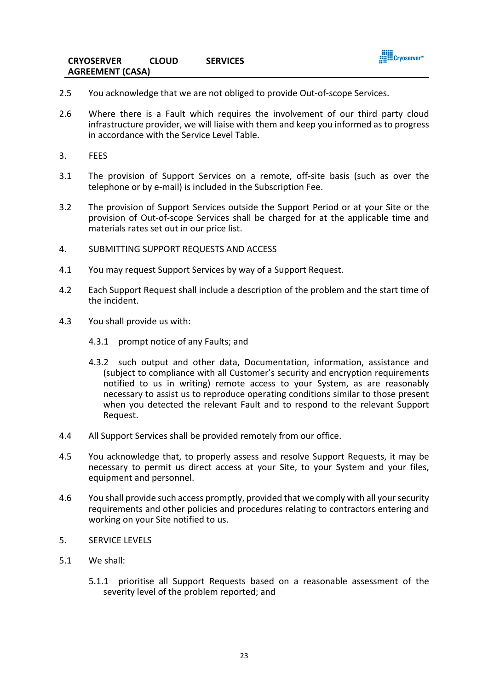

- 2.5 You acknowledge that we are not obliged to provide Out-of-scope Services.
- 2.6 Where there is a Fault which requires the involvement of our third party cloud infrastructure provider, we will liaise with them and keep you informed as to progress in accordance with the Service Level Table.
- 3. FEES
- 3.1 The provision of Support Services on a remote, off-site basis (such as over the telephone or by e-mail) is included in the Subscription Fee.
- 3.2 The provision of Support Services outside the Support Period or at your Site or the provision of Out-of-scope Services shall be charged for at the applicable time and materials rates set out in our price list.
- 4. SUBMITTING SUPPORT REQUESTS AND ACCESS
- 4.1 You may request Support Services by way of a Support Request.
- 4.2 Each Support Request shall include a description of the problem and the start time of the incident.
- 4.3 You shall provide us with:
	- 4.3.1 prompt notice of any Faults; and
	- 4.3.2 such output and other data, Documentation, information, assistance and (subject to compliance with all Customer's security and encryption requirements notified to us in writing) remote access to your System, as are reasonably necessary to assist us to reproduce operating conditions similar to those present when you detected the relevant Fault and to respond to the relevant Support Request.
- 4.4 All Support Services shall be provided remotely from our office.
- 4.5 You acknowledge that, to properly assess and resolve Support Requests, it may be necessary to permit us direct access at your Site, to your System and your files, equipment and personnel.
- 4.6 You shall provide such access promptly, provided that we comply with all your security requirements and other policies and procedures relating to contractors entering and working on your Site notified to us.
- 5. SERVICE LEVELS
- 5.1 We shall:
	- 5.1.1 prioritise all Support Requests based on a reasonable assessment of the severity level of the problem reported; and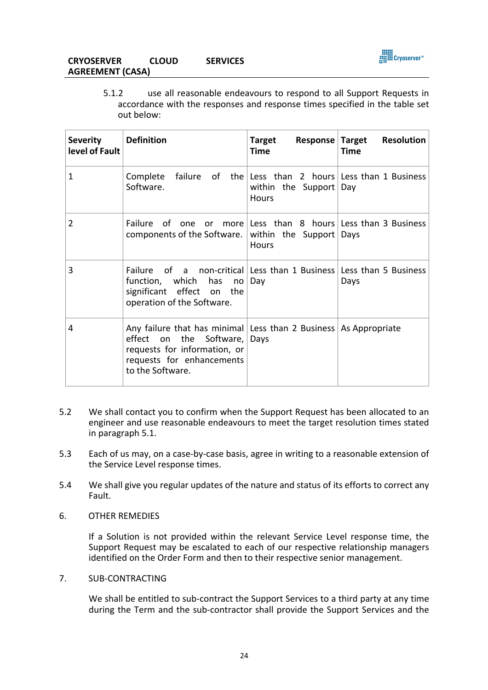

# **CRYOSERVER CLOUD SERVICES AGREEMENT (CASA)**

5.1.2 use all reasonable endeavours to respond to all Support Requests in accordance with the responses and response times specified in the table set out below:

| <b>Severity</b><br>level of Fault | <b>Definition</b>                                                                                                                                                                 | <b>Response Target</b><br><b>Target</b><br><b>Time</b>                                            | <b>Resolution</b><br><b>Time</b> |
|-----------------------------------|-----------------------------------------------------------------------------------------------------------------------------------------------------------------------------------|---------------------------------------------------------------------------------------------------|----------------------------------|
| 1                                 | Complete<br>Software.                                                                                                                                                             | failure of the Less than 2 hours Less than 1 Business<br>within the Support   Day<br><b>Hours</b> |                                  |
| $\overline{2}$                    | Failure of one or more Less than 8 hours Less than 3 Business<br>components of the Software.                                                                                      | within the Support Days<br><b>Hours</b>                                                           |                                  |
| 3                                 | Failure of a non-critical Less than 1 Business Less than 5 Business<br>function, which has<br>no<br>significant effect on the<br>operation of the Software.                       | Day                                                                                               | Days                             |
| 4                                 | Any failure that has minimal Less than 2 Business   As Appropriate<br>the Software,<br>effect on<br>requests for information, or<br>requests for enhancements<br>to the Software. | Days                                                                                              |                                  |

- 5.2 We shall contact you to confirm when the Support Request has been allocated to an engineer and use reasonable endeavours to meet the target resolution times stated in paragraph 5.1.
- 5.3 Each of us may, on a case-by-case basis, agree in writing to a reasonable extension of the Service Level response times.
- 5.4 We shall give you regular updates of the nature and status of its efforts to correct any Fault.
- 6. OTHER REMEDIES

If a Solution is not provided within the relevant Service Level response time, the Support Request may be escalated to each of our respective relationship managers identified on the Order Form and then to their respective senior management.

7. SUB-CONTRACTING

We shall be entitled to sub-contract the Support Services to a third party at any time during the Term and the sub-contractor shall provide the Support Services and the